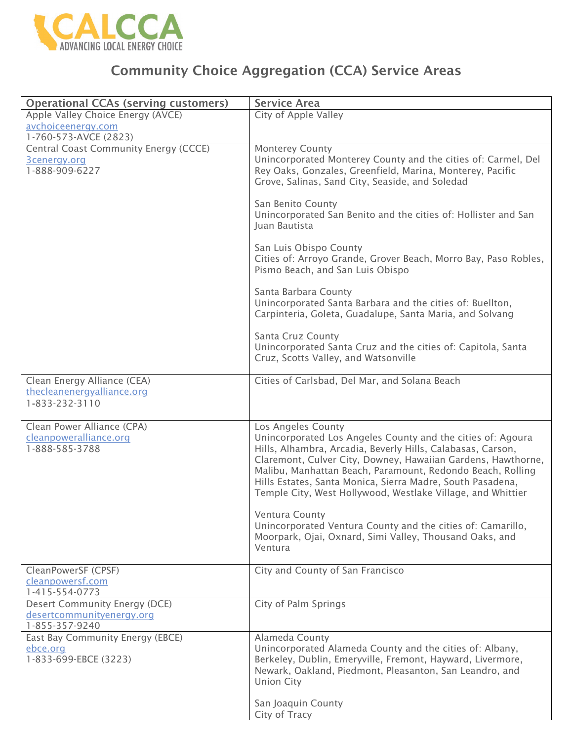

## Community Choice Aggregation (CCA) Service Areas

| <b>Operational CCAs (serving customers)</b>                                      | <b>Service Area</b>                                                                                                                                                                                                                                                                                                                                                                                                                                                                                                                                                |
|----------------------------------------------------------------------------------|--------------------------------------------------------------------------------------------------------------------------------------------------------------------------------------------------------------------------------------------------------------------------------------------------------------------------------------------------------------------------------------------------------------------------------------------------------------------------------------------------------------------------------------------------------------------|
| Apple Valley Choice Energy (AVCE)<br>avchoiceenergy.com<br>1-760-573-AVCE (2823) | City of Apple Valley                                                                                                                                                                                                                                                                                                                                                                                                                                                                                                                                               |
| Central Coast Community Energy (CCCE)<br>3cenergy.org<br>1-888-909-6227          | <b>Monterey County</b><br>Unincorporated Monterey County and the cities of: Carmel, Del<br>Rey Oaks, Gonzales, Greenfield, Marina, Monterey, Pacific<br>Grove, Salinas, Sand City, Seaside, and Soledad                                                                                                                                                                                                                                                                                                                                                            |
|                                                                                  | San Benito County<br>Unincorporated San Benito and the cities of: Hollister and San<br>Juan Bautista                                                                                                                                                                                                                                                                                                                                                                                                                                                               |
|                                                                                  | San Luis Obispo County<br>Cities of: Arroyo Grande, Grover Beach, Morro Bay, Paso Robles,<br>Pismo Beach, and San Luis Obispo                                                                                                                                                                                                                                                                                                                                                                                                                                      |
|                                                                                  | Santa Barbara County<br>Unincorporated Santa Barbara and the cities of: Buellton,<br>Carpinteria, Goleta, Guadalupe, Santa Maria, and Solvang                                                                                                                                                                                                                                                                                                                                                                                                                      |
|                                                                                  | Santa Cruz County<br>Unincorporated Santa Cruz and the cities of: Capitola, Santa<br>Cruz, Scotts Valley, and Watsonville                                                                                                                                                                                                                                                                                                                                                                                                                                          |
| Clean Energy Alliance (CEA)<br>thecleanenergyalliance.org<br>1-833-232-3110      | Cities of Carlsbad, Del Mar, and Solana Beach                                                                                                                                                                                                                                                                                                                                                                                                                                                                                                                      |
| Clean Power Alliance (CPA)<br>cleanpoweralliance.org<br>1-888-585-3788           | Los Angeles County<br>Unincorporated Los Angeles County and the cities of: Agoura<br>Hills, Alhambra, Arcadia, Beverly Hills, Calabasas, Carson,<br>Claremont, Culver City, Downey, Hawaiian Gardens, Hawthorne,<br>Malibu, Manhattan Beach, Paramount, Redondo Beach, Rolling<br>Hills Estates, Santa Monica, Sierra Madre, South Pasadena,<br>Temple City, West Hollywood, Westlake Village, and Whittier<br>Ventura County<br>Unincorporated Ventura County and the cities of: Camarillo,<br>Moorpark, Ojai, Oxnard, Simi Valley, Thousand Oaks, and<br>Ventura |
| CleanPowerSF (CPSF)<br>cleanpowersf.com<br>1-415-554-0773                        | City and County of San Francisco                                                                                                                                                                                                                                                                                                                                                                                                                                                                                                                                   |
| Desert Community Energy (DCE)<br>desertcommunityenergy.org<br>1-855-357-9240     | City of Palm Springs                                                                                                                                                                                                                                                                                                                                                                                                                                                                                                                                               |
| East Bay Community Energy (EBCE)<br>ebce.org<br>1-833-699-EBCE (3223)            | Alameda County<br>Unincorporated Alameda County and the cities of: Albany,<br>Berkeley, Dublin, Emeryville, Fremont, Hayward, Livermore,<br>Newark, Oakland, Piedmont, Pleasanton, San Leandro, and<br><b>Union City</b>                                                                                                                                                                                                                                                                                                                                           |
|                                                                                  | San Joaquin County<br>City of Tracy                                                                                                                                                                                                                                                                                                                                                                                                                                                                                                                                |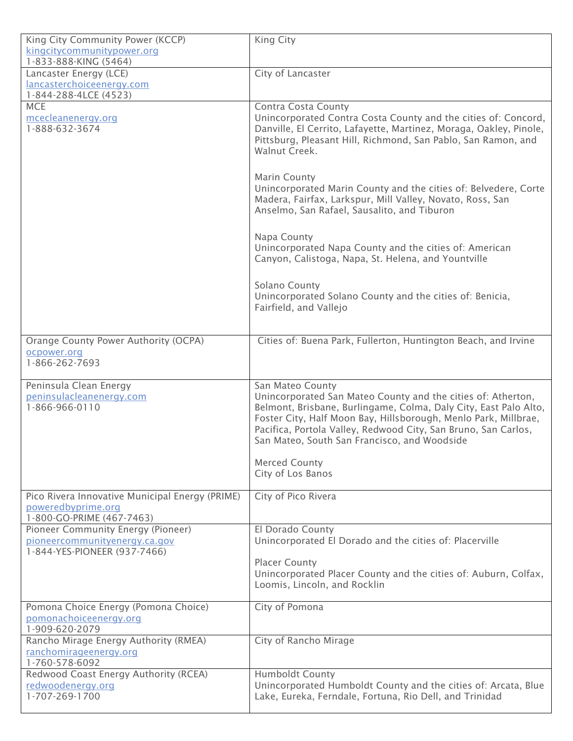| King City Community Power (KCCP)                | King City                                                                                                                           |
|-------------------------------------------------|-------------------------------------------------------------------------------------------------------------------------------------|
| kingcitycommunitypower.org                      |                                                                                                                                     |
| 1-833-888-KING (5464)                           |                                                                                                                                     |
| Lancaster Energy (LCE)                          | City of Lancaster                                                                                                                   |
| lancasterchoiceenergy.com                       |                                                                                                                                     |
| 1-844-288-4LCE (4523)                           |                                                                                                                                     |
| <b>MCE</b>                                      | <b>Contra Costa County</b>                                                                                                          |
| mcecleanenergy.org                              | Unincorporated Contra Costa County and the cities of: Concord,                                                                      |
| 1-888-632-3674                                  | Danville, El Cerrito, Lafayette, Martinez, Moraga, Oakley, Pinole,<br>Pittsburg, Pleasant Hill, Richmond, San Pablo, San Ramon, and |
|                                                 | Walnut Creek.                                                                                                                       |
|                                                 |                                                                                                                                     |
|                                                 |                                                                                                                                     |
|                                                 | <b>Marin County</b>                                                                                                                 |
|                                                 | Unincorporated Marin County and the cities of: Belvedere, Corte                                                                     |
|                                                 | Madera, Fairfax, Larkspur, Mill Valley, Novato, Ross, San                                                                           |
|                                                 | Anselmo, San Rafael, Sausalito, and Tiburon                                                                                         |
|                                                 |                                                                                                                                     |
|                                                 | Napa County                                                                                                                         |
|                                                 | Unincorporated Napa County and the cities of: American                                                                              |
|                                                 | Canyon, Calistoga, Napa, St. Helena, and Yountville                                                                                 |
|                                                 |                                                                                                                                     |
|                                                 | Solano County                                                                                                                       |
|                                                 | Unincorporated Solano County and the cities of: Benicia,                                                                            |
|                                                 | Fairfield, and Vallejo                                                                                                              |
|                                                 |                                                                                                                                     |
| Orange County Power Authority (OCPA)            | Cities of: Buena Park, Fullerton, Huntington Beach, and Irvine                                                                      |
| ocpower.org                                     |                                                                                                                                     |
| 1-866-262-7693                                  |                                                                                                                                     |
|                                                 |                                                                                                                                     |
| Peninsula Clean Energy                          | San Mateo County                                                                                                                    |
| peninsulacleanenergy.com                        | Unincorporated San Mateo County and the cities of: Atherton,                                                                        |
| 1-866-966-0110                                  | Belmont, Brisbane, Burlingame, Colma, Daly City, East Palo Alto,                                                                    |
|                                                 | Foster City, Half Moon Bay, Hillsborough, Menlo Park, Millbrae,                                                                     |
|                                                 | Pacifica, Portola Valley, Redwood City, San Bruno, San Carlos,<br>San Mateo, South San Francisco, and Woodside                      |
|                                                 |                                                                                                                                     |
|                                                 |                                                                                                                                     |
|                                                 |                                                                                                                                     |
|                                                 | <b>Merced County</b>                                                                                                                |
|                                                 | City of Los Banos                                                                                                                   |
| Pico Rivera Innovative Municipal Energy (PRIME) | City of Pico Rivera                                                                                                                 |
| poweredbyprime.org                              |                                                                                                                                     |
| 1-800-GO-PRIME (467-7463)                       |                                                                                                                                     |
| Pioneer Community Energy (Pioneer)              | El Dorado County                                                                                                                    |
| pioneercommunityenergy.ca.gov                   | Unincorporated El Dorado and the cities of: Placerville                                                                             |
| 1-844-YES-PIONEER (937-7466)                    |                                                                                                                                     |
|                                                 | <b>Placer County</b>                                                                                                                |
|                                                 | Unincorporated Placer County and the cities of: Auburn, Colfax,                                                                     |
|                                                 | Loomis, Lincoln, and Rocklin                                                                                                        |
| Pomona Choice Energy (Pomona Choice)            | City of Pomona                                                                                                                      |
| pomonachoiceenergy.org                          |                                                                                                                                     |
| 1-909-620-2079                                  |                                                                                                                                     |
| Rancho Mirage Energy Authority (RMEA)           | City of Rancho Mirage                                                                                                               |
| ranchomirageenergy.org                          |                                                                                                                                     |
| 1-760-578-6092                                  |                                                                                                                                     |
| Redwood Coast Energy Authority (RCEA)           | <b>Humboldt County</b>                                                                                                              |
| redwoodenergy.org<br>1-707-269-1700             | Unincorporated Humboldt County and the cities of: Arcata, Blue<br>Lake, Eureka, Ferndale, Fortuna, Rio Dell, and Trinidad           |